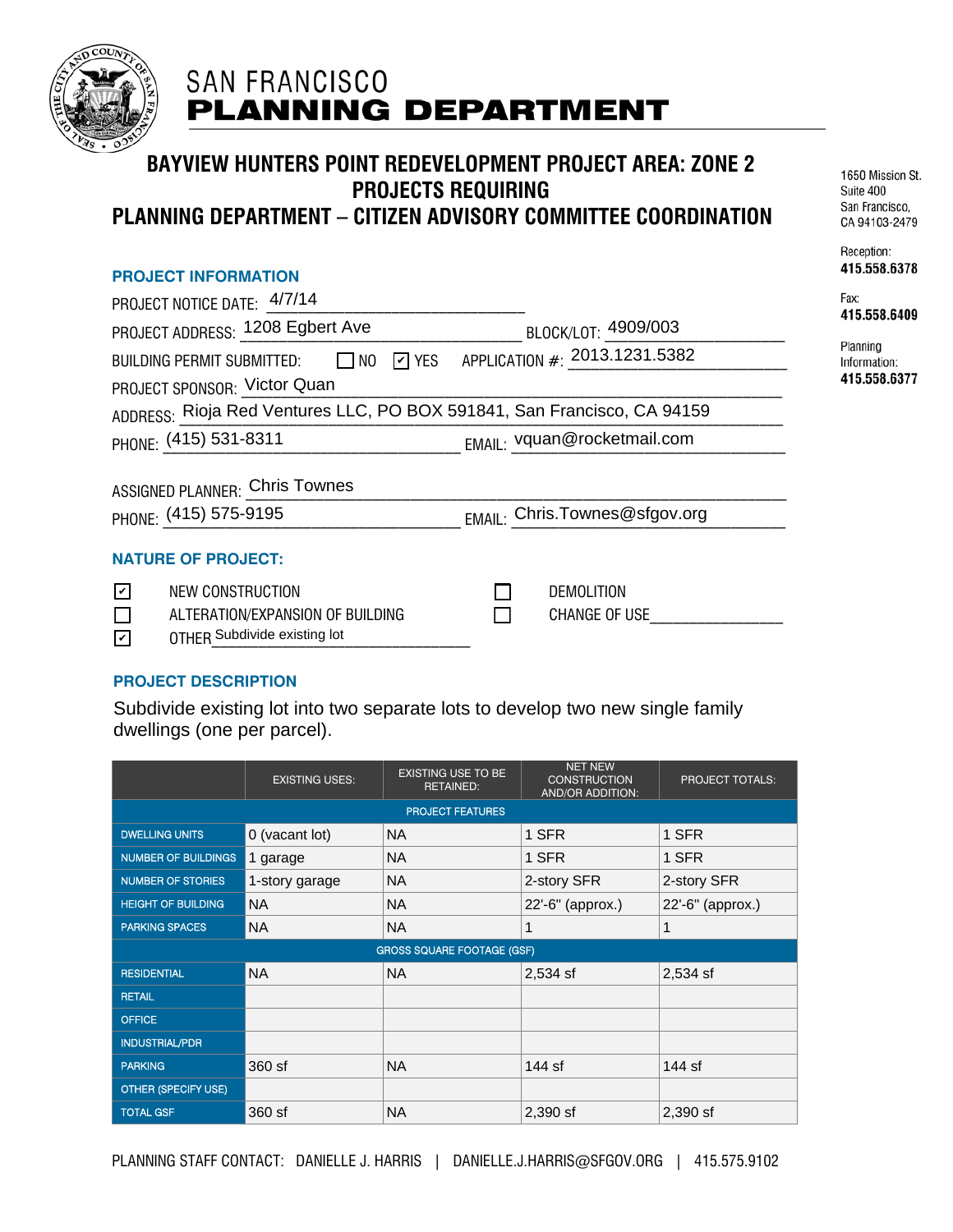

# **SAN FRANCISCO PLANNING DEPARTMENT**

## **BAYVIEW HUNTERS POINT REDEVELOPMENT PROJECT AREA: ZONE 2 PROJECTS REQUIRING PLANNING DEPARTMENT – CITIZEN ADVISORY COMMITTEE COORDINATION**

#### **PROJECT INFORMATION**

|                       | PROJECT NOTICE DATE: 4/7/14           |                                                                               |
|-----------------------|---------------------------------------|-------------------------------------------------------------------------------|
|                       | PROJECT ADDRESS: 1208 Egbert Ave      | BLOCK/LOT: 4909/003                                                           |
|                       |                                       | BUILDING PERMIT SUBMITTED: $\Box$ NO $\Box$ YES APPLICATION #: 2013.1231.5382 |
|                       | PROJECT SPONSOR: Victor Quan          |                                                                               |
|                       |                                       | ADDRESS: Rioja Red Ventures LLC, PO BOX 591841, San Francisco, CA 94159       |
|                       | PHONE: (415) 531-8311                 | EMAIL: vquan@rocketmail.com                                                   |
|                       | <b>ASSIGNED PLANNER: Chris Townes</b> |                                                                               |
| PHONE: (415) 575-9195 |                                       | EMAIL: Chris.Townes@sfgov.org                                                 |
|                       | <b>NATURE OF PROJECT:</b>             |                                                                               |
| $\blacktriangledown$  | <b>NEW CONSTRUCTION</b>               | DEMOLITION                                                                    |

1650 Mission St. Suite 400 San Francisco. CA 94103-2479

Reception: 415.558.6378

| Fax:         |
|--------------|
| 415.558.6409 |

Planning Information: 415.558.6377

| NEW CONSTRUCTION                 | DEMOLITION    |  |
|----------------------------------|---------------|--|
| ALTERATION/EXPANSION OF BUILDING | CHANGE OF USE |  |
| OTHFR Subdivide existing lot     |               |  |

### **PROJECT DESCRIPTION**

Subdivide existing lot into two separate lots to develop two new single family dwellings (one per parcel).

|                                   | <b>EXISTING USES:</b> | <b>EXISTING USE TO BE</b><br><b>RETAINED:</b> | <b>NET NEW</b><br><b>CONSTRUCTION</b><br><b>AND/OR ADDITION:</b> | <b>PROJECT TOTALS:</b> |  |  |  |
|-----------------------------------|-----------------------|-----------------------------------------------|------------------------------------------------------------------|------------------------|--|--|--|
| PROJECT FEATURES                  |                       |                                               |                                                                  |                        |  |  |  |
| <b>DWELLING UNITS</b>             | 0 (vacant lot)        | <b>NA</b>                                     | 1 SFR                                                            | 1 SFR                  |  |  |  |
| <b>NUMBER OF BUILDINGS</b>        | 1 garage              | <b>NA</b>                                     | 1 SFR                                                            | 1 SFR                  |  |  |  |
| <b>NUMBER OF STORIES</b>          | 1-story garage        | <b>NA</b>                                     | 2-story SFR                                                      | 2-story SFR            |  |  |  |
| <b>HEIGHT OF BUILDING</b>         | <b>NA</b>             | <b>NA</b>                                     | 22'-6" (approx.)                                                 | 22'-6" (approx.)       |  |  |  |
| <b>PARKING SPACES</b>             | <b>NA</b>             | <b>NA</b>                                     | 1                                                                | 1                      |  |  |  |
| <b>GROSS SQUARE FOOTAGE (GSF)</b> |                       |                                               |                                                                  |                        |  |  |  |
| <b>RESIDENTIAL</b>                | <b>NA</b>             | <b>NA</b>                                     | $2,534$ sf                                                       | 2,534 sf               |  |  |  |
| <b>RETAIL</b>                     |                       |                                               |                                                                  |                        |  |  |  |
| <b>OFFICE</b>                     |                       |                                               |                                                                  |                        |  |  |  |
| <b>INDUSTRIAL/PDR</b>             |                       |                                               |                                                                  |                        |  |  |  |
| <b>PARKING</b>                    | 360 sf                | <b>NA</b>                                     | 144 sf                                                           | 144 sf                 |  |  |  |
| OTHER (SPECIFY USE)               |                       |                                               |                                                                  |                        |  |  |  |
| <b>TOTAL GSF</b>                  | 360 sf                | NA.                                           | $2,390$ sf                                                       | $2,390$ sf             |  |  |  |